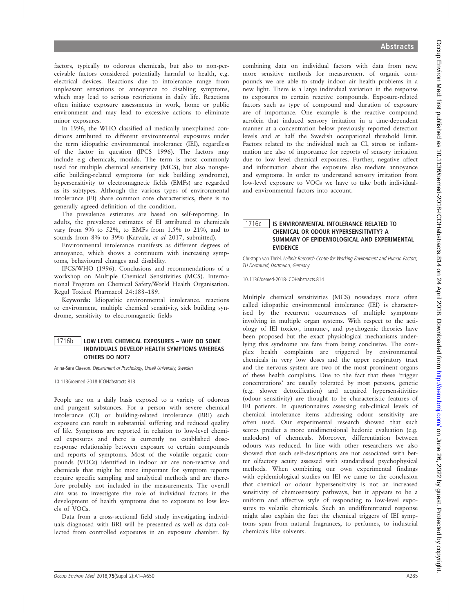factors, typically to odorous chemicals, but also to non-perceivable factors considered potentially harmful to health, e.g. electrical devices. Reactions due to intolerance range from unpleasant sensations or annoyance to disabling symptoms, which may lead to serious restrictions in daily life. Reactions often initiate exposure assessments in work, home or public environment and may lead to excessive actions to eliminate minor exposures.

In 1996, the WHO classified all medically unexplained conditions attributed to different environmental exposures under the term idiopathic environmental intolerance (IEI), regardless of the factor in question (IPCS 1996). The factors may include e.g chemicals, moulds. The term is most commonly used for multiple chemical sensitivity (MCS), but also nonspecific building-related symptoms (or sick building syndrome), hypersensitivity to electromagnetic fields (EMFs) are regarded as its subtypes. Although the various types of environmental intolerance (EI) share common core characteristics, there is no generally agreed definition of the condition.

The prevalence estimates are based on self-reporting. In adults, the prevalence estimates of EI attributed to chemicals vary from 9% to 52%, to EMFs from 1.5% to 21%, and to sounds from 8% to 39% (Karvala, et al 2017, submitted).

Environmental intolerance manifests as different degrees of annoyance, which shows a continuum with increasing symptoms, behavioural changes and disability.

IPCS/WHO (1996). Conclusions and recommendations of a workshop on Multiple Chemical Sensitivities (MCS). International Program on Chemical Safety/World Health Organisation. Regul Toxicol Pharmacol 24:188–189.

Keywords: Idiopathic environmental intolerance, reactions to environment, multiple chemical sensitivity, sick building syndrome, sensitivity to electromagnetic fields

#### 1716b | LOW LEVEL CHEMICAL EXPOSURES - WHY DO SOME INDIVIDUALS DEVELOP HEALTH SYMPTOMS WHEREAS OTHERS DO NOT?

Anna-Sara Claeson. Department of Psychology, Umeå University, Sweden

10.1136/oemed-2018-ICOHabstracts.813

People are on a daily basis exposed to a variety of odorous and pungent substances. For a person with severe chemical intolerance (CI) or building-related intolerance (BRI) such exposure can result in substantial suffering and reduced quality of life. Symptoms are reported in relation to low-level chemical exposures and there is currently no established doseresponse relationship between exposure to certain compounds and reports of symptoms. Most of the volatile organic compounds (VOCs) identified in indoor air are non-reactive and chemicals that might be more important for symptom reports require specific sampling and analytical methods and are therefore probably not included in the measurements. The overall aim was to investigate the role of individual factors in the development of health symptoms due to exposure to low levels of VOCs.

Data from a cross-sectional field study investigating individuals diagnosed with BRI will be presented as well as data collected from controlled exposures in an exposure chamber. By combining data on individual factors with data from new, more sensitive methods for measurement of organic compounds we are able to study indoor air health problems in a new light. There is a large individual variation in the response to exposures to certain reactive compounds. Exposure-related factors such as type of compound and duration of exposure are of importance. One example is the reactive compound acrolein that induced sensory irritation in a time-dependent manner at a concentration below previously reported detection levels and at half the Swedish occupational threshold limit. Factors related to the individual such as CI, stress or inflammation are also of importance for reports of sensory irritation due to low level chemical exposures. Further, negative affect and information about the exposure also mediate annoyance and symptoms. In order to understand sensory irritation from low-level exposure to VOCs we have to take both individualand environmental factors into account.

# 1716c | IS ENVIRONMENTAL INTOLERANCE RELATED TO CHEMICAL OR ODOUR HYPERSENSITIVITY? A SUMMARY OF EPIDEMIOLOGICAL AND EXPERIMENTAL EVIDENCE

Christoph van Thriel. Leibniz Research Centre for Working Environment and Human Factors, TU Dortmund, Dortmund, Germany

10.1136/oemed-2018-ICOHabstracts.814

Multiple chemical sensitivities (MCS) nowadays more often called idiopathic environmental intolerance (IEI) is characterised by the recurrent occurrences of multiple symptoms involving in multiple organ systems. With respect to the aetiology of IEI toxico-, immune-, and psychogenic theories have been proposed but the exact physiological mechanisms underlying this syndrome are fare from being conclusive. The complex health complaints are triggered by environmental chemicals in very low doses and the upper respiratory tract and the nervous system are two of the most prominent organs of these health complains. Due to the fact that these 'trigger concentrations' are usually tolerated by most persons, genetic (e.g. slower detoxification) and acquired hypersensitivities (odour sensitivity) are thought to be characteristic features of IEI patients. In questionnaires assessing sub-clinical levels of chemical intolerance items addressing odour sensitivity are often used. Our experimental research showed that such scores predict a more unidimensional hedonic evaluation (e.g. malodors) of chemicals. Moreover, differentiation between odours was reduced. In line with other researchers we also showed that such self-descriptions are not associated with better olfactory acuity assessed with standardised psychophysical methods. When combining our own experimental findings with epidemiological studies on IEI we came to the conclusion that chemical or odour hypersensitivity is not an increased sensitivity of chemosensory pathways, but it appears to be a uniform and affective style of responding to low-level exposures to volatile chemicals. Such an undifferentiated response might also explain the fact the chemical triggers of IEI symptoms span from natural fragrances, to perfumes, to industrial chemicals like solvents.